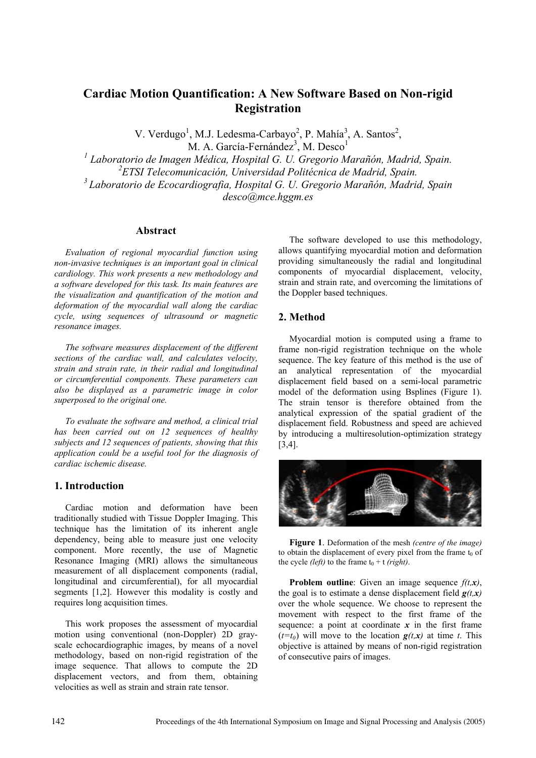# **Cardiac Motion Quantification: A New Software Based on Non-rigid Registration**

V. Verdugo<sup>1</sup>, M.J. Ledesma-Carbayo<sup>2</sup>, P. Mahía<sup>3</sup>, A. Santos<sup>2</sup>, M. A. García-Fernández<sup>3</sup>, M. Desco<sup>1</sup>

<sup>1</sup> Laboratorio de Imagen Médica, Hospital G. U. Gregorio Marañón, Madrid, Spain. *2 ETSI Telecomunicación, Universidad Politécnica de Madrid, Spain. 3 Laboratorio de Ecocardiografia, Hospital G. U. Gregorio Marañón, Madrid, Spain*

*desco@mce.hggm.es* 

## **Abstract**

*Evaluation of regional myocardial function using non-invasive techniques is an important goal in clinical cardiology. This work presents a new methodology and a software developed for this task. Its main features are the visualization and quantification of the motion and deformation of the myocardial wall along the cardiac cycle, using sequences of ultrasound or magnetic resonance images.* 

*The software measures displacement of the different sections of the cardiac wall, and calculates velocity, strain and strain rate, in their radial and longitudinal or circumferential components. These parameters can also be displayed as a parametric image in color superposed to the original one.* 

*To evaluate the software and method, a clinical trial has been carried out on 12 sequences of healthy subjects and 12 sequences of patients, showing that this application could be a useful tool for the diagnosis of cardiac ischemic disease.* 

## **1. Introduction**

Cardiac motion and deformation have been traditionally studied with Tissue Doppler Imaging. This technique has the limitation of its inherent angle dependency, being able to measure just one velocity component. More recently, the use of Magnetic Resonance Imaging (MRI) allows the simultaneous measurement of all displacement components (radial, longitudinal and circumferential), for all myocardial segments [1,2]. However this modality is costly and requires long acquisition times.

This work proposes the assessment of myocardial motion using conventional (non-Doppler) 2D grayscale echocardiographic images, by means of a novel methodology, based on non-rigid registration of the image sequence. That allows to compute the 2D displacement vectors, and from them, obtaining velocities as well as strain and strain rate tensor.

The software developed to use this methodology, allows quantifying myocardial motion and deformation providing simultaneously the radial and longitudinal components of myocardial displacement, velocity, strain and strain rate, and overcoming the limitations of the Doppler based techniques.

# **2. Method**

Myocardial motion is computed using a frame to frame non-rigid registration technique on the whole sequence. The key feature of this method is the use of an analytical representation of the myocardial displacement field based on a semi-local parametric model of the deformation using Bsplines (Figure 1). The strain tensor is therefore obtained from the analytical expression of the spatial gradient of the displacement field. Robustness and speed are achieved by introducing a multiresolution-optimization strategy [3,4].



**Figure 1**. Deformation of the mesh *(centre of the image)* to obtain the displacement of every pixel from the frame  $t_0$  of the cycle *(left)* to the frame  $t_0 + t$  *(right)*.

**Problem outline**: Given an image sequence *f(t,x)*, the goal is to estimate a dense displacement field  $g(t, x)$ over the whole sequence. We choose to represent the movement with respect to the first frame of the sequence: a point at coordinate  $x$  in the first frame  $(t=t_0)$  will move to the location  $g(t,x)$  at time *t*. This objective is attained by means of non-rigid registration of consecutive pairs of images.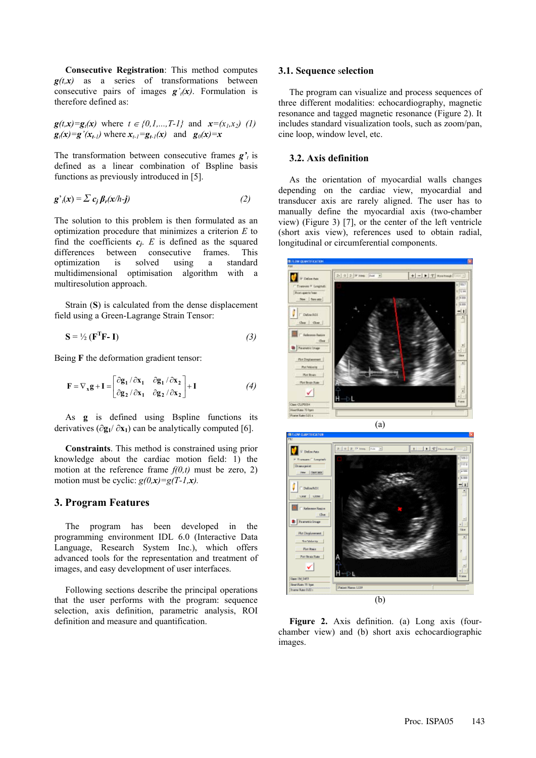**Consecutive Registration**: This method computes  $g(t,x)$  as a series of transformations between consecutive pairs of images  $g'_{t}(x)$ . Formulation is therefore defined as:

$$
\mathbf{g}(t,\mathbf{x}) = \mathbf{g}_t(\mathbf{x}) \text{ where } t \in \{0,1,\ldots,T-1\} \text{ and } \mathbf{x} = (x_1,x_2) \quad (1)
$$
\n
$$
\mathbf{g}_t(\mathbf{x}) = \mathbf{g}'(x_{t-1}) \text{ where } x_{t-1} = \mathbf{g}_{t-1}(\mathbf{x}) \text{ and } \mathbf{g}_0(\mathbf{x}) = \mathbf{x}
$$

The transformation between consecutive frames *g't* is defined as a linear combination of Bspline basis functions as previously introduced in [5].

$$
\mathbf{g'}_i(\mathbf{x}) = \sum c_j \beta_r(\mathbf{x}/h - \mathbf{j})
$$
 (2)

The solution to this problem is then formulated as an optimization procedure that minimizes a criterion *E* to find the coefficients  $c_i$ . *E* is defined as the squared differences between consecutive frames. This optimization is solved using a standard multidimensional optimisation algorithm with a multiresolution approach.

Strain (**S**) is calculated from the dense displacement field using a Green-Lagrange Strain Tensor:

$$
\mathbf{S} = \frac{1}{2} \left( \mathbf{F}^{\mathrm{T}} \mathbf{F} - \mathbf{I} \right) \tag{3}
$$

Being **F** the deformation gradient tensor:

$$
\mathbf{F} = \nabla_{\mathbf{x}} \mathbf{g} + \mathbf{I} = \begin{bmatrix} \frac{\partial \mathbf{g}_1}{\partial \mathbf{x}_1} & \frac{\partial \mathbf{g}_1}{\partial \mathbf{x}_2} \\ \frac{\partial \mathbf{g}_2}{\partial \mathbf{x}_1} & \frac{\partial \mathbf{g}_2}{\partial \mathbf{x}_2} \end{bmatrix} + \mathbf{I}
$$
(4)

As **g** is defined using Bspline functions its derivatives  $(\partial \mathbf{g}_1 / \partial \mathbf{x}_1)$  can be analytically computed [6].

**Constraints**. This method is constrained using prior knowledge about the cardiac motion field: 1) the motion at the reference frame *f(0,t)* must be zero, 2) motion must be cyclic:  $g(0, x) = g(T-1, x)$ .

## **3. Program Features**

The program has been developed in the programming environment IDL 6.0 (Interactive Data Language, Research System Inc.), which offers advanced tools for the representation and treatment of images, and easy development of user interfaces.

Following sections describe the principal operations that the user performs with the program: sequence selection, axis definition, parametric analysis, ROI definition and measure and quantification.

#### **3.1. Sequence** s**election**

The program can visualize and process sequences of three different modalities: echocardiography, magnetic resonance and tagged magnetic resonance (Figure 2). It includes standard visualization tools, such as zoom/pan, cine loop, window level, etc.

#### **3.2. Axis definition**

As the orientation of myocardial walls changes depending on the cardiac view, myocardial and transducer axis are rarely aligned. The user has to manually define the myocardial axis (two-chamber view) (Figure 3) [7], or the center of the left ventricle (short axis view), references used to obtain radial, longitudinal or circumferential components.





**Figure 2.** Axis definition. (a) Long axis (fourchamber view) and (b) short axis echocardiographic images.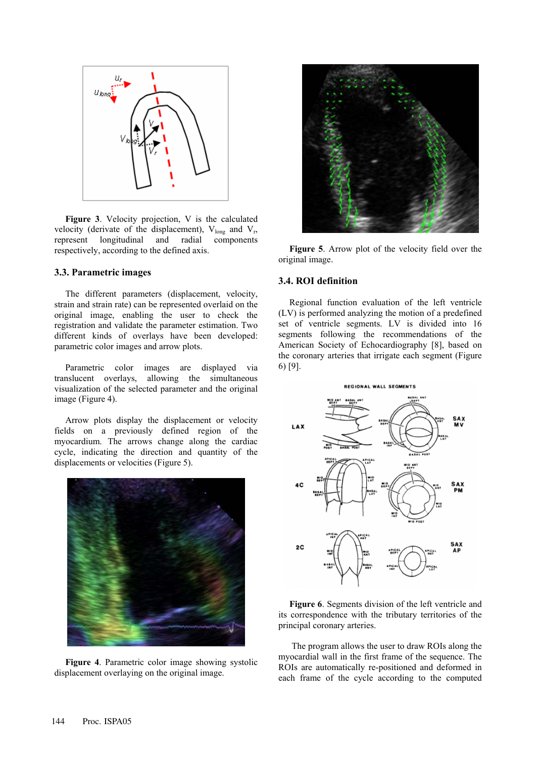

**Figure 3**. Velocity projection, V is the calculated velocity (derivate of the displacement),  $V_{\text{long}}$  and  $V_{r}$ , represent longitudinal and radial components respectively, according to the defined axis.

### **3.3. Parametric images**

The different parameters (displacement, velocity, strain and strain rate) can be represented overlaid on the original image, enabling the user to check the registration and validate the parameter estimation. Two different kinds of overlays have been developed: parametric color images and arrow plots.

Parametric color images are displayed via translucent overlays, allowing the simultaneous visualization of the selected parameter and the original image (Figure 4).

Arrow plots display the displacement or velocity fields on a previously defined region of the myocardium. The arrows change along the cardiac cycle, indicating the direction and quantity of the displacements or velocities (Figure 5).



**Figure 4**. Parametric color image showing systolic displacement overlaying on the original image.



**Figure 5**. Arrow plot of the velocity field over the original image.

#### **3.4. ROI definition**

Regional function evaluation of the left ventricle (LV) is performed analyzing the motion of a predefined set of ventricle segments. LV is divided into 16 segments following the recommendations of the American Society of Echocardiography [8], based on the coronary arteries that irrigate each segment (Figure 6) [9].



**Figure 6**. Segments division of the left ventricle and its correspondence with the tributary territories of the principal coronary arteries.

 The program allows the user to draw ROIs along the myocardial wall in the first frame of the sequence. The ROIs are automatically re-positioned and deformed in each frame of the cycle according to the computed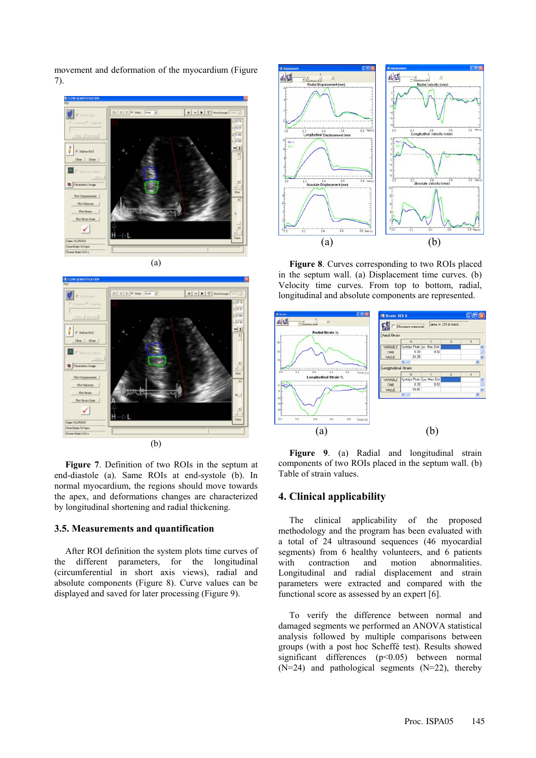movement and deformation of the myocardium (Figure 7).





**Figure 7**. Definition of two ROIs in the septum at end-diastole (a). Same ROIs at end-systole (b). In normal myocardium, the regions should move towards the apex, and deformations changes are characterized by longitudinal shortening and radial thickening.

### **3.5. Measurements and quantification**

After ROI definition the system plots time curves of the different parameters, for the longitudinal (circumferential in short axis views), radial and absolute components (Figure 8). Curve values can be displayed and saved for later processing (Figure 9).



**Figure 8**. Curves corresponding to two ROIs placed in the septum wall. (a) Displacement time curves. (b) Velocity time curves. From top to bottom, radial, longitudinal and absolute components are represented.



**Figure 9**. (a) Radial and longitudinal strain components of two ROIs placed in the septum wall. (b) Table of strain values.

# **4. Clinical applicability**

The clinical applicability of the proposed methodology and the program has been evaluated with a total of 24 ultrasound sequences (46 myocardial segments) from 6 healthy volunteers, and 6 patients with contraction and motion abnormalities. Longitudinal and radial displacement and strain parameters were extracted and compared with the functional score as assessed by an expert [6].

To verify the difference between normal and damaged segments we performed an ANOVA statistical analysis followed by multiple comparisons between groups (with a post hoc Scheffé test). Results showed significant differences (p<0.05) between normal  $(N=24)$  and pathological segments  $(N=22)$ , thereby